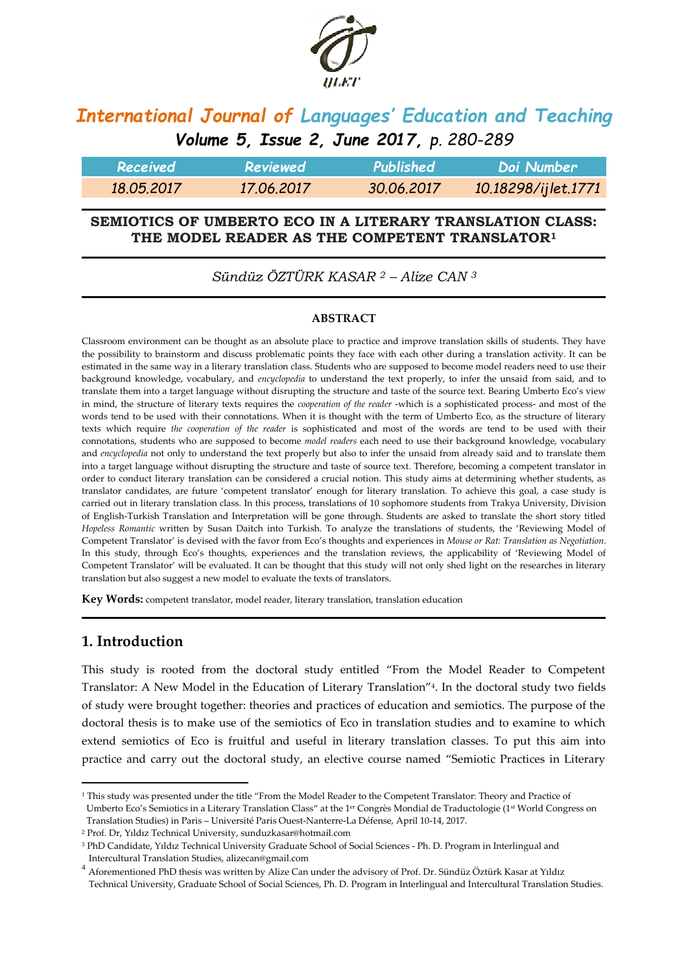

# *International Journal of Languages' Education and Teaching Volume 5, Issue 2, June 2017, p. 280-289*

| Received   | Reviewed   | Published  | Doi Number          |
|------------|------------|------------|---------------------|
| 18.05.2017 | 17.06.2017 | 30.06.2017 | 10.18298/ijlet.1771 |

#### **SEMIOTICS OF UMBERTO ECO IN A LITERARY TRANSLATION CLASS: THE MODEL READER AS THE COMPETENT TRANSLATOR<sup>1</sup>**

*Sündüz ÖZTÜRK KASAR <sup>2</sup> – Alize CAN <sup>3</sup>*

#### **ABSTRACT**

Classroom environment can be thought as an absolute place to practice and improve translation skills of students. They have the possibility to brainstorm and discuss problematic points they face with each other during a translation activity. It can be estimated in the same way in a literary translation class. Students who are supposed to become model readers need to use their background knowledge, vocabulary, and *encyclopedia* to understand the text properly, to infer the unsaid from said, and to translate them into a target language without disrupting the structure and taste of the source text. Bearing Umberto Eco's view in mind, the structure of literary texts requires the *cooperation of the reader* -which is a sophisticated process- and most of the words tend to be used with their connotations. When it is thought with the term of Umberto Eco, as the structure of literary texts which require *the cooperation of the reader* is sophisticated and most of the words are tend to be used with their connotations, students who are supposed to become *model readers* each need to use their background knowledge, vocabulary and *encyclopedia* not only to understand the text properly but also to infer the unsaid from already said and to translate them into a target language without disrupting the structure and taste of source text. Therefore, becoming a competent translator in order to conduct literary translation can be considered a crucial notion. This study aims at determining whether students, as translator candidates, are future 'competent translator' enough for literary translation. To achieve this goal, a case study is carried out in literary translation class. In this process, translations of 10 sophomore students from Trakya University, Division of English-Turkish Translation and Interpretation will be gone through. Students are asked to translate the short story titled *Hopeless Romantic* written by Susan Daitch into Turkish. To analyze the translations of students, the 'Reviewing Model of Competent Translator' is devised with the favor from Eco's thoughts and experiences in *Mouse or Rat: Translation as Negotiation*. In this study, through Eco's thoughts, experiences and the translation reviews, the applicability of 'Reviewing Model of Competent Translator' will be evaluated. It can be thought that this study will not only shed light on the researches in literary translation but also suggest a new model to evaluate the texts of translators.

**Key Words:** competent translator, model reader, literary translation, translation education

#### **1. Introduction**

1

This study is rooted from the doctoral study entitled "From the Model Reader to Competent Translator: A New Model in the Education of Literary Translation"<sup>4</sup> . In the doctoral study two fields of study were brought together: theories and practices of education and semiotics. The purpose of the doctoral thesis is to make use of the semiotics of Eco in translation studies and to examine to which extend semiotics of Eco is fruitful and useful in literary translation classes. To put this aim into practice and carry out the doctoral study, an elective course named "Semiotic Practices in Literary

<sup>2</sup> Prof. Dr, Yıldız Technical University, sunduzkasar@hotmail.com

<sup>1</sup> This study was presented under the title "From the Model Reader to the Competent Translator: Theory and Practice of Umberto Eco's Semiotics in a Literary Translation Class" at the 1er Congrès Mondial de Traductologie (1st World Congress on Translation Studies) in Paris – Université Paris Ouest-Nanterre-La Défense, April 10-14, 2017.

<sup>3</sup> PhD Candidate, Yıldız Technical University Graduate School of Social Sciences - Ph. D. Program in Interlingual and Intercultural Translation Studies, alizecan@gmail.com

<sup>4</sup> Aforementioned PhD thesis was written by Alize Can under the advisory of Prof. Dr. Sündüz Öztürk Kasar at Yıldız Technical University, Graduate School of Social Sciences, Ph. D. Program in Interlingual and Intercultural Translation Studies.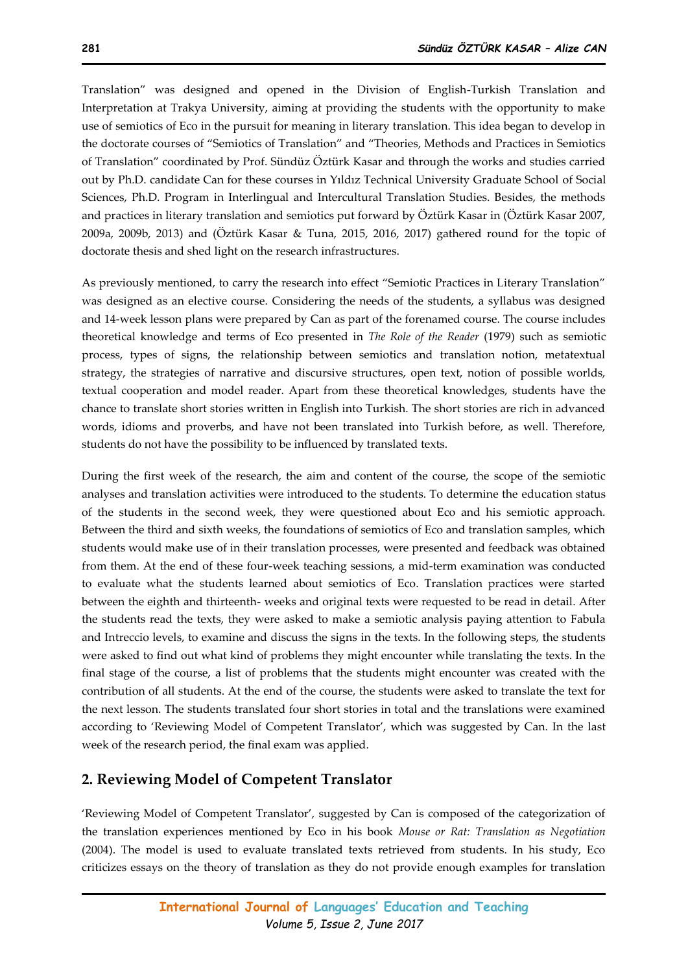Translation" was designed and opened in the Division of English-Turkish Translation and Interpretation at Trakya University, aiming at providing the students with the opportunity to make use of semiotics of Eco in the pursuit for meaning in literary translation. This idea began to develop in the doctorate courses of "Semiotics of Translation" and "Theories, Methods and Practices in Semiotics of Translation" coordinated by Prof. Sündüz Öztürk Kasar and through the works and studies carried out by Ph.D. candidate Can for these courses in Yıldız Technical University Graduate School of Social Sciences, Ph.D. Program in Interlingual and Intercultural Translation Studies. Besides, the methods and practices in literary translation and semiotics put forward by Öztürk Kasar in (Öztürk Kasar 2007, 2009a, 2009b, 2013) and (Öztürk Kasar & Tuna, 2015, 2016, 2017) gathered round for the topic of doctorate thesis and shed light on the research infrastructures.

As previously mentioned, to carry the research into effect "Semiotic Practices in Literary Translation" was designed as an elective course. Considering the needs of the students, a syllabus was designed and 14-week lesson plans were prepared by Can as part of the forenamed course. The course includes theoretical knowledge and terms of Eco presented in *The Role of the Reader* (1979) such as semiotic process, types of signs, the relationship between semiotics and translation notion, metatextual strategy, the strategies of narrative and discursive structures, open text, notion of possible worlds, textual cooperation and model reader. Apart from these theoretical knowledges, students have the chance to translate short stories written in English into Turkish. The short stories are rich in advanced words, idioms and proverbs, and have not been translated into Turkish before, as well. Therefore, students do not have the possibility to be influenced by translated texts.

During the first week of the research, the aim and content of the course, the scope of the semiotic analyses and translation activities were introduced to the students. To determine the education status of the students in the second week, they were questioned about Eco and his semiotic approach. Between the third and sixth weeks, the foundations of semiotics of Eco and translation samples, which students would make use of in their translation processes, were presented and feedback was obtained from them. At the end of these four-week teaching sessions, a mid-term examination was conducted to evaluate what the students learned about semiotics of Eco. Translation practices were started between the eighth and thirteenth- weeks and original texts were requested to be read in detail. After the students read the texts, they were asked to make a semiotic analysis paying attention to Fabula and Intreccio levels, to examine and discuss the signs in the texts. In the following steps, the students were asked to find out what kind of problems they might encounter while translating the texts. In the final stage of the course, a list of problems that the students might encounter was created with the contribution of all students. At the end of the course, the students were asked to translate the text for the next lesson. The students translated four short stories in total and the translations were examined according to 'Reviewing Model of Competent Translator', which was suggested by Can. In the last week of the research period, the final exam was applied.

#### **2. Reviewing Model of Competent Translator**

'Reviewing Model of Competent Translator', suggested by Can is composed of the categorization of the translation experiences mentioned by Eco in his book *Mouse or Rat: Translation as Negotiation* (2004). The model is used to evaluate translated texts retrieved from students. In his study, Eco criticizes essays on the theory of translation as they do not provide enough examples for translation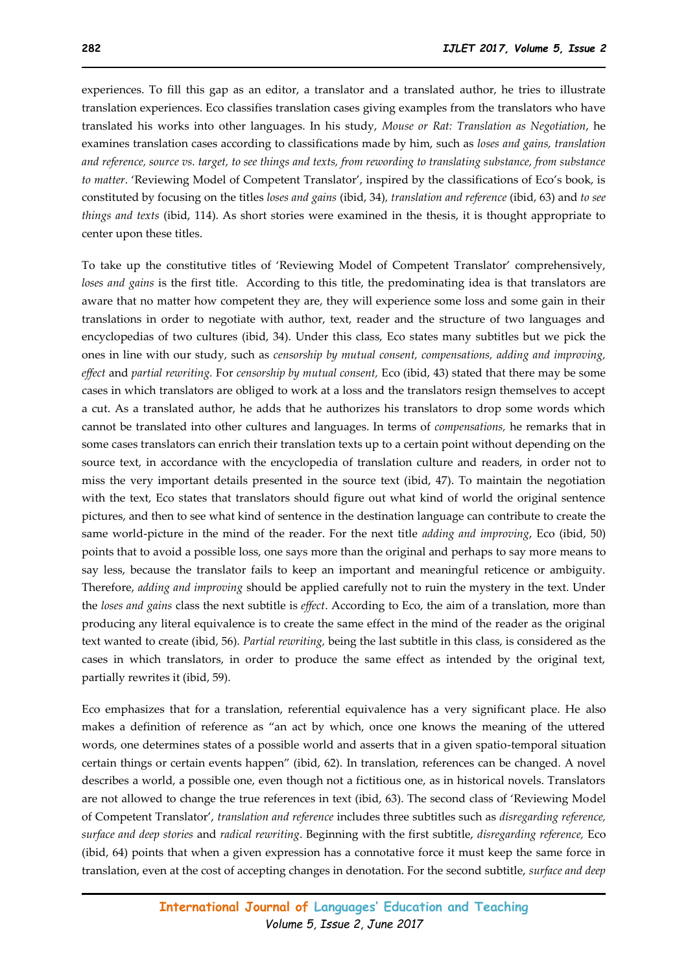experiences. To fill this gap as an editor, a translator and a translated author, he tries to illustrate translation experiences. Eco classifies translation cases giving examples from the translators who have translated his works into other languages. In his study, *Mouse or Rat: Translation as Negotiation*, he examines translation cases according to classifications made by him, such as *loses and gains, translation and reference, source vs. target, to see things and texts, from rewording to translating substance, from substance to matter*. 'Reviewing Model of Competent Translator', inspired by the classifications of Eco's book, is constituted by focusing on the titles *loses and gains* (ibid, 34)*, translation and reference* (ibid, 63) and *to see things and texts* (ibid, 114). As short stories were examined in the thesis, it is thought appropriate to center upon these titles.

To take up the constitutive titles of 'Reviewing Model of Competent Translator' comprehensively, *loses and gains* is the first title. According to this title, the predominating idea is that translators are aware that no matter how competent they are, they will experience some loss and some gain in their translations in order to negotiate with author, text, reader and the structure of two languages and encyclopedias of two cultures (ibid, 34). Under this class, Eco states many subtitles but we pick the ones in line with our study, such as *censorship by mutual consent, compensations, adding and improving, effect* and *partial rewriting.* For *censorship by mutual consent,* Eco (ibid, 43) stated that there may be some cases in which translators are obliged to work at a loss and the translators resign themselves to accept a cut. As a translated author, he adds that he authorizes his translators to drop some words which cannot be translated into other cultures and languages. In terms of *compensations,* he remarks that in some cases translators can enrich their translation texts up to a certain point without depending on the source text, in accordance with the encyclopedia of translation culture and readers, in order not to miss the very important details presented in the source text (ibid, 47). To maintain the negotiation with the text, Eco states that translators should figure out what kind of world the original sentence pictures, and then to see what kind of sentence in the destination language can contribute to create the same world-picture in the mind of the reader. For the next title *adding and improving*, Eco (ibid, 50) points that to avoid a possible loss, one says more than the original and perhaps to say more means to say less, because the translator fails to keep an important and meaningful reticence or ambiguity. Therefore, *adding and improving* should be applied carefully not to ruin the mystery in the text. Under the *loses and gains* class the next subtitle is *effect*. According to Eco, the aim of a translation, more than producing any literal equivalence is to create the same effect in the mind of the reader as the original text wanted to create (ibid, 56). *Partial rewriting,* being the last subtitle in this class, is considered as the cases in which translators, in order to produce the same effect as intended by the original text, partially rewrites it (ibid, 59).

Eco emphasizes that for a translation, referential equivalence has a very significant place. He also makes a definition of reference as "an act by which, once one knows the meaning of the uttered words, one determines states of a possible world and asserts that in a given spatio-temporal situation certain things or certain events happen" (ibid, 62). In translation, references can be changed. A novel describes a world, a possible one, even though not a fictitious one, as in historical novels. Translators are not allowed to change the true references in text (ibid, 63). The second class of 'Reviewing Model of Competent Translator', *translation and reference* includes three subtitles such as *disregarding reference, surface and deep stories* and *radical rewriting*. Beginning with the first subtitle, *disregarding reference,* Eco (ibid, 64) points that when a given expression has a connotative force it must keep the same force in translation, even at the cost of accepting changes in denotation. For the second subtitle, *surface and deep*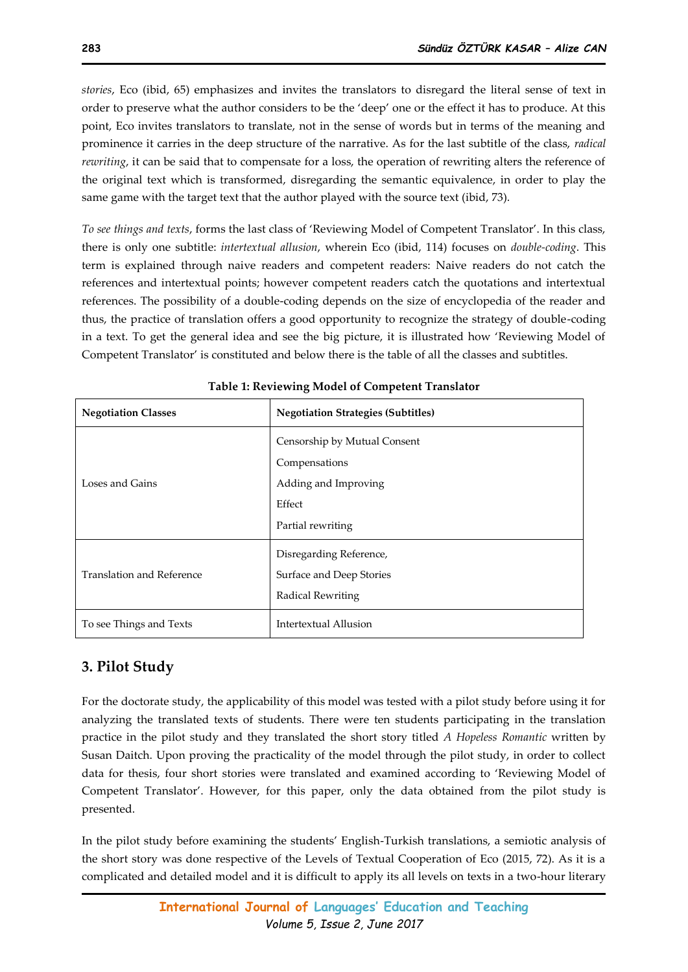*stories*, Eco (ibid, 65) emphasizes and invites the translators to disregard the literal sense of text in order to preserve what the author considers to be the 'deep' one or the effect it has to produce. At this point, Eco invites translators to translate, not in the sense of words but in terms of the meaning and prominence it carries in the deep structure of the narrative. As for the last subtitle of the class, *radical rewriting*, it can be said that to compensate for a loss, the operation of rewriting alters the reference of the original text which is transformed, disregarding the semantic equivalence, in order to play the same game with the target text that the author played with the source text (ibid, 73).

*To see things and texts*, forms the last class of 'Reviewing Model of Competent Translator'. In this class, there is only one subtitle: *intertextual allusion*, wherein Eco (ibid, 114) focuses on *double-coding*. This term is explained through naive readers and competent readers: Naive readers do not catch the references and intertextual points; however competent readers catch the quotations and intertextual references. The possibility of a double-coding depends on the size of encyclopedia of the reader and thus, the practice of translation offers a good opportunity to recognize the strategy of double-coding in a text. To get the general idea and see the big picture, it is illustrated how 'Reviewing Model of Competent Translator' is constituted and below there is the table of all the classes and subtitles.

| <b>Negotiation Classes</b>       | <b>Negotiation Strategies (Subtitles)</b> |
|----------------------------------|-------------------------------------------|
|                                  | Censorship by Mutual Consent              |
|                                  | Compensations                             |
| Loses and Gains                  | Adding and Improving                      |
|                                  | Effect                                    |
|                                  | Partial rewriting                         |
|                                  | Disregarding Reference,                   |
| <b>Translation and Reference</b> | Surface and Deep Stories                  |
|                                  | Radical Rewriting                         |
| To see Things and Texts          | Intertextual Allusion                     |

# **3. Pilot Study**

For the doctorate study, the applicability of this model was tested with a pilot study before using it for analyzing the translated texts of students. There were ten students participating in the translation practice in the pilot study and they translated the short story titled *A Hopeless Romantic* written by Susan Daitch. Upon proving the practicality of the model through the pilot study, in order to collect data for thesis, four short stories were translated and examined according to 'Reviewing Model of Competent Translator'. However, for this paper, only the data obtained from the pilot study is presented.

In the pilot study before examining the students' English-Turkish translations, a semiotic analysis of the short story was done respective of the Levels of Textual Cooperation of Eco (2015, 72). As it is a complicated and detailed model and it is difficult to apply its all levels on texts in a two-hour literary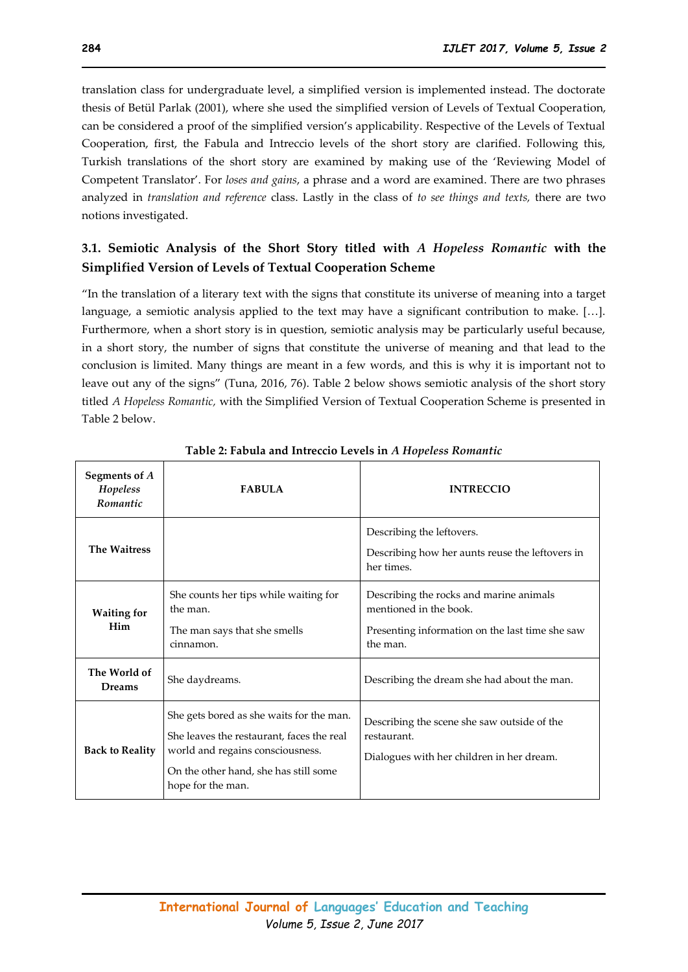translation class for undergraduate level, a simplified version is implemented instead. The doctorate thesis of Betül Parlak (2001), where she used the simplified version of Levels of Textual Cooperation, can be considered a proof of the simplified version's applicability. Respective of the Levels of Textual Cooperation, first, the Fabula and Intreccio levels of the short story are clarified. Following this, Turkish translations of the short story are examined by making use of the 'Reviewing Model of Competent Translator'. For *loses and gains*, a phrase and a word are examined. There are two phrases analyzed in *translation and reference* class. Lastly in the class of *to see things and texts,* there are two notions investigated.

## **3.1. Semiotic Analysis of the Short Story titled with** *A Hopeless Romantic* **with the Simplified Version of Levels of Textual Cooperation Scheme**

"In the translation of a literary text with the signs that constitute its universe of meaning into a target language, a semiotic analysis applied to the text may have a significant contribution to make. […]. Furthermore, when a short story is in question, semiotic analysis may be particularly useful because, in a short story, the number of signs that constitute the universe of meaning and that lead to the conclusion is limited. Many things are meant in a few words, and this is why it is important not to leave out any of the signs" (Tuna, 2016, 76). Table 2 below shows semiotic analysis of the short story titled *A Hopeless Romantic,* with the Simplified Version of Textual Cooperation Scheme is presented in Table 2 below.

| Segments of A<br>Hopeless<br>Romantic | <b>FABULA</b>                                                                                                                                                                           | <b>INTRECCIO</b>                                                                                                                 |
|---------------------------------------|-----------------------------------------------------------------------------------------------------------------------------------------------------------------------------------------|----------------------------------------------------------------------------------------------------------------------------------|
| <b>The Waitress</b>                   |                                                                                                                                                                                         | Describing the leftovers.<br>Describing how her aunts reuse the leftovers in<br>her times.                                       |
| <b>Waiting for</b><br>Him             | She counts her tips while waiting for<br>the man.<br>The man says that she smells<br>cinnamon.                                                                                          | Describing the rocks and marine animals<br>mentioned in the book.<br>Presenting information on the last time she saw<br>the man. |
| The World of<br><b>Dreams</b>         | She daydreams.                                                                                                                                                                          | Describing the dream she had about the man.                                                                                      |
| <b>Back to Reality</b>                | She gets bored as she waits for the man.<br>She leaves the restaurant, faces the real<br>world and regains consciousness.<br>On the other hand, she has still some<br>hope for the man. | Describing the scene she saw outside of the<br>restaurant.<br>Dialogues with her children in her dream.                          |

#### **Table 2: Fabula and Intreccio Levels in** *A Hopeless Romantic*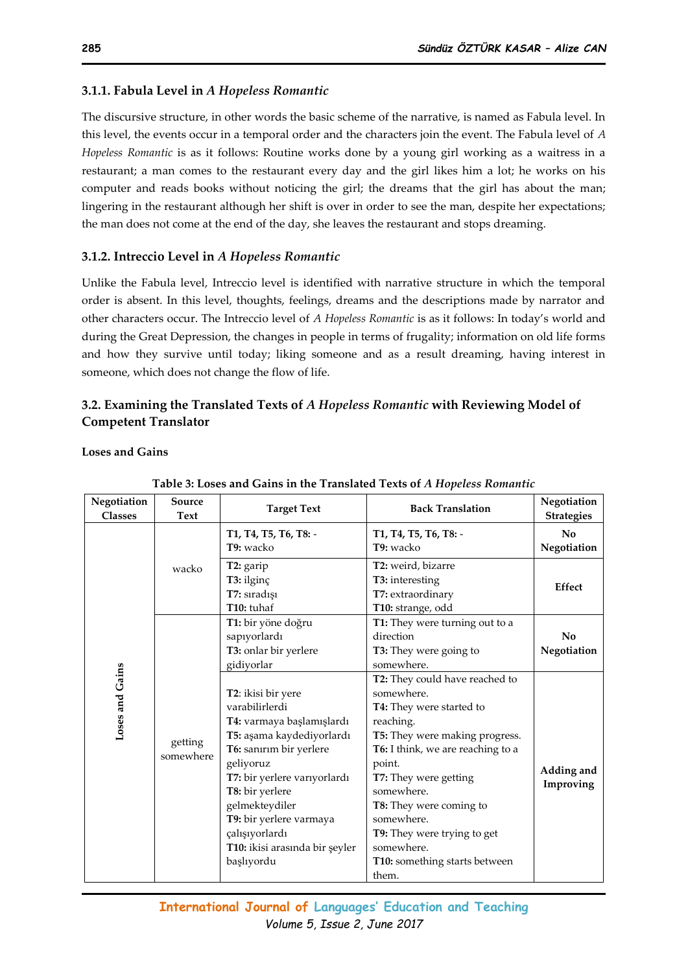## **3.1.1. Fabula Level in** *A Hopeless Romantic*

The discursive structure, in other words the basic scheme of the narrative, is named as Fabula level. In this level, the events occur in a temporal order and the characters join the event. The Fabula level of *A Hopeless Romantic* is as it follows: Routine works done by a young girl working as a waitress in a restaurant; a man comes to the restaurant every day and the girl likes him a lot; he works on his computer and reads books without noticing the girl; the dreams that the girl has about the man; lingering in the restaurant although her shift is over in order to see the man, despite her expectations; the man does not come at the end of the day, she leaves the restaurant and stops dreaming.

## **3.1.2. Intreccio Level in** *A Hopeless Romantic*

Unlike the Fabula level, Intreccio level is identified with narrative structure in which the temporal order is absent. In this level, thoughts, feelings, dreams and the descriptions made by narrator and other characters occur. The Intreccio level of *A Hopeless Romantic* is as it follows: In today's world and during the Great Depression, the changes in people in terms of frugality; information on old life forms and how they survive until today; liking someone and as a result dreaming, having interest in someone, which does not change the flow of life.

## **3.2. Examining the Translated Texts of** *A Hopeless Romantic* **with Reviewing Model of Competent Translator**

**Loses and Gains**

| . Ecoco and Oams in the Translated Texts of ITHopeness Reman |                      |                                |                                   |                   |
|--------------------------------------------------------------|----------------------|--------------------------------|-----------------------------------|-------------------|
| Negotiation                                                  | Source               | <b>Target Text</b>             | <b>Back Translation</b>           | Negotiation       |
| <b>Classes</b>                                               | Text                 |                                |                                   | <b>Strategies</b> |
|                                                              |                      | T1, T4, T5, T6, T8: -          | T1, T4, T5, T6, T8: -             | No                |
|                                                              |                      | T9: wacko                      | T9: wacko                         | Negotiation       |
|                                                              | wacko                | T2: garip                      | T2: weird, bizarre                |                   |
|                                                              |                      | T3: ilginç                     | T3: interesting                   |                   |
|                                                              |                      | T7: sıradışı                   | T7: extraordinary                 | Effect            |
|                                                              |                      | T10: tuhaf                     | T10: strange, odd                 |                   |
|                                                              |                      | T1: bir yöne doğru             | T1: They were turning out to a    |                   |
|                                                              |                      | sapıyorlardı                   | direction                         | No                |
|                                                              |                      | T3: onlar bir yerlere          | T3: They were going to            | Negotiation       |
| Loses and Gains                                              |                      | gidiyorlar                     | somewhere.                        |                   |
|                                                              |                      |                                | T2: They could have reached to    |                   |
|                                                              |                      | T2: ikisi bir yere             | somewhere.                        |                   |
|                                                              |                      | varabilirlerdi                 | T4: They were started to          |                   |
|                                                              |                      | T4: varmaya başlamışlardı      | reaching.                         |                   |
|                                                              | getting<br>somewhere | T5: aşama kaydediyorlardı      | T5: They were making progress.    |                   |
|                                                              |                      | T6: sanırım bir yerlere        | T6: I think, we are reaching to a |                   |
|                                                              |                      | geliyoruz                      | point.                            |                   |
|                                                              |                      | T7: bir yerlere varıyorlardı   | T7: They were getting             | Adding and        |
|                                                              |                      | T8: bir yerlere                | somewhere.                        | Improving         |
|                                                              |                      | gelmekteydiler                 | T8: They were coming to           |                   |
|                                                              |                      | T9: bir yerlere varmaya        | somewhere.                        |                   |
|                                                              |                      | çalışıyorlardı                 | T9: They were trying to get       |                   |
|                                                              |                      | T10: ikisi arasında bir şeyler | somewhere.                        |                   |
|                                                              |                      | başlıyordu                     | T10: something starts between     |                   |
|                                                              |                      |                                | them.                             |                   |

#### **Table 3: Loses and Gains in the Translated Texts of** *A Hopeless Romantic*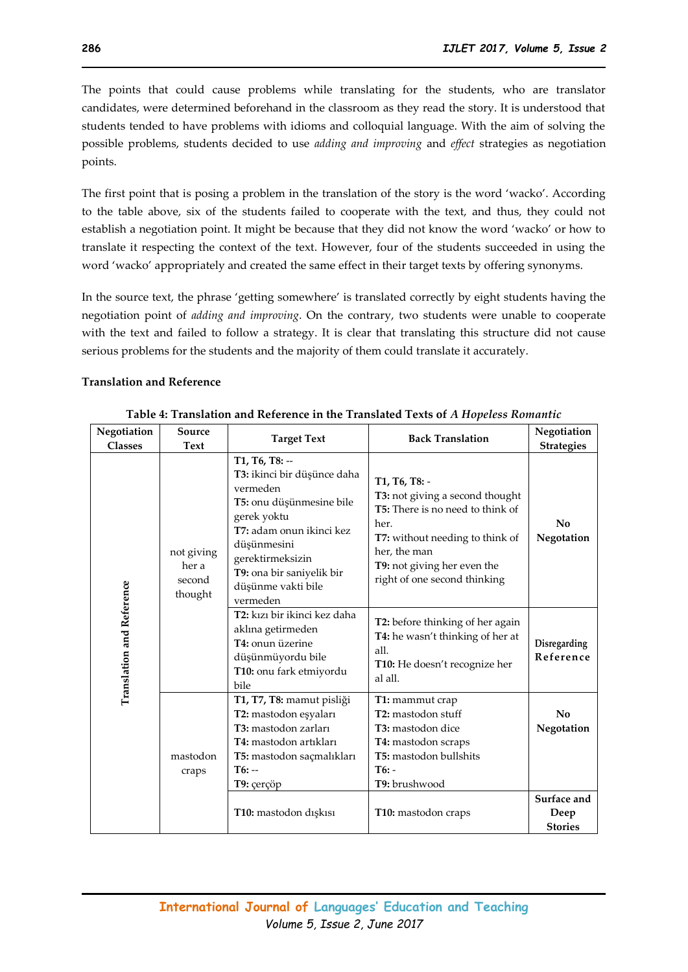The points that could cause problems while translating for the students, who are translator candidates, were determined beforehand in the classroom as they read the story. It is understood that students tended to have problems with idioms and colloquial language. With the aim of solving the possible problems, students decided to use *adding and improving* and *effect* strategies as negotiation points.

The first point that is posing a problem in the translation of the story is the word 'wacko'. According to the table above, six of the students failed to cooperate with the text, and thus, they could not establish a negotiation point. It might be because that they did not know the word 'wacko' or how to translate it respecting the context of the text. However, four of the students succeeded in using the word 'wacko' appropriately and created the same effect in their target texts by offering synonyms.

In the source text, the phrase 'getting somewhere' is translated correctly by eight students having the negotiation point of *adding and improving*. On the contrary, two students were unable to cooperate with the text and failed to follow a strategy. It is clear that translating this structure did not cause serious problems for the students and the majority of them could translate it accurately.

#### **Translation and Reference**

| Negotiation<br><b>Classes</b>    | Source<br>Text                           | <b>Target Text</b>                                                                                                                                                                                                                 | <b>Back Translation</b>                                                                                                                                                                                               | Negotiation<br><b>Strategies</b>      |
|----------------------------------|------------------------------------------|------------------------------------------------------------------------------------------------------------------------------------------------------------------------------------------------------------------------------------|-----------------------------------------------------------------------------------------------------------------------------------------------------------------------------------------------------------------------|---------------------------------------|
|                                  | not giving<br>her a<br>second<br>thought | T1, T6, T8: --<br>T3: ikinci bir düşünce daha<br>vermeden<br>T5: onu düşünmesine bile<br>gerek yoktu<br>T7: adam onun ikinci kez<br>düşünmesini<br>gerektirmeksizin<br>T9: ona bir saniyelik bir<br>düşünme vakti bile<br>vermeden | T1, T6, T8: -<br>T3: not giving a second thought<br><b>T5:</b> There is no need to think of<br>her.<br>T7: without needing to think of<br>her, the man<br>T9: not giving her even the<br>right of one second thinking | No<br>Negotation                      |
| <b>Translation and Reference</b> |                                          | T2: kızı bir ikinci kez daha<br>aklına getirmeden<br>T4: onun üzerine<br>düşünmüyordu bile<br>T10: onu fark etmiyordu<br>bile                                                                                                      | T2: before thinking of her again<br>T4: he wasn't thinking of her at<br>all.<br>T10: He doesn't recognize her<br>al all.                                                                                              | Disregarding<br>Reference             |
|                                  | mastodon<br>craps                        | T1, T7, T8: mamut pisliği<br>T2: mastodon eşyaları<br>T3: mastodon zarları<br>T4: mastodon artiklari<br>T5: mastodon saçmalıkları<br>$T6: -$<br>T9: çerçöp                                                                         | T1: mammut crap<br>T2: mastodon stuff<br>T3: mastodon dice<br>T4: mastodon scraps<br>T5: mastodon bullshits<br>$T6: -$<br>T9: brushwood                                                                               | No<br>Negotation                      |
|                                  |                                          | T10: mastodon dışkısı                                                                                                                                                                                                              | T10: mastodon craps                                                                                                                                                                                                   | Surface and<br>Deep<br><b>Stories</b> |

**Table 4: Translation and Reference in the Translated Texts of** *A Hopeless Romantic*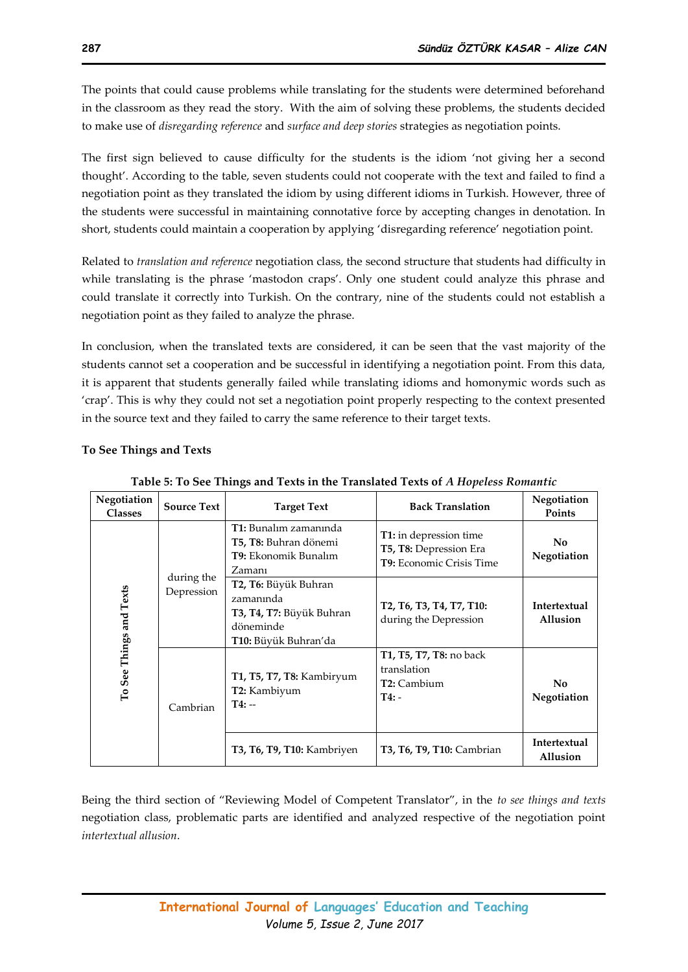The points that could cause problems while translating for the students were determined beforehand in the classroom as they read the story. With the aim of solving these problems, the students decided to make use of *disregarding reference* and *surface and deep stories* strategies as negotiation points.

The first sign believed to cause difficulty for the students is the idiom 'not giving her a second thought'. According to the table, seven students could not cooperate with the text and failed to find a negotiation point as they translated the idiom by using different idioms in Turkish. However, three of the students were successful in maintaining connotative force by accepting changes in denotation. In short, students could maintain a cooperation by applying 'disregarding reference' negotiation point.

Related to *translation and reference* negotiation class, the second structure that students had difficulty in while translating is the phrase 'mastodon craps'. Only one student could analyze this phrase and could translate it correctly into Turkish. On the contrary, nine of the students could not establish a negotiation point as they failed to analyze the phrase.

In conclusion, when the translated texts are considered, it can be seen that the vast majority of the students cannot set a cooperation and be successful in identifying a negotiation point. From this data, it is apparent that students generally failed while translating idioms and homonymic words such as 'crap'. This is why they could not set a negotiation point properly respecting to the context presented in the source text and they failed to carry the same reference to their target texts.

| rapic of 10 occ 1milyo and 1 calo in the 11 anomica 1 calo of 11 hopeness no <i>mmen</i> s |                                                                                                           |                                                                                                                                 |                                                                              |                          |
|--------------------------------------------------------------------------------------------|-----------------------------------------------------------------------------------------------------------|---------------------------------------------------------------------------------------------------------------------------------|------------------------------------------------------------------------------|--------------------------|
| Negotiation<br><b>Classes</b>                                                              | <b>Source Text</b>                                                                                        | <b>Target Text</b>                                                                                                              | <b>Back Translation</b>                                                      | Negotiation<br>Points    |
| during the<br>To See Things and Texts<br>Depression<br>Cambrian                            |                                                                                                           | <b>T1:</b> Bunalim zamanında<br>T5, T8: Buhran dönemi<br>T9: Ekonomik Bunalım<br>Zamanı                                         | T1: in depression time<br>T5, T8: Depression Era<br>T9: Economic Crisis Time | No.<br>Negotiation       |
|                                                                                            | T2, T6: Büyük Buhran<br>zamanında<br>T3, T4, T7: Büyük Buhran<br>döneminde<br><b>T10:</b> Büyük Buhran'da | T <sub>2</sub> , T <sub>6</sub> , T <sub>3</sub> , T <sub>4</sub> , T <sub>7</sub> , T <sub>10</sub> :<br>during the Depression | Intertextual<br>Allusion                                                     |                          |
|                                                                                            |                                                                                                           | T1, T5, T7, T8: Kambiryum<br>T2: Kambiyum<br>$T4: -$                                                                            | T1, T5, T7, T8: no back<br>translation<br>T2: Cambium<br>$T4: -$             | No<br>Negotiation        |
|                                                                                            |                                                                                                           | <b>T3, T6, T9, T10: Kambriyen</b>                                                                                               | <b>T3, T6, T9, T10: Cambrian</b>                                             | Intertextual<br>Allusion |

#### **To See Things and Texts**

**Table 5: To See Things and Texts in the Translated Texts of** *A Hopeless Romantic*

Being the third section of "Reviewing Model of Competent Translator", in the *to see things and texts*  negotiation class, problematic parts are identified and analyzed respective of the negotiation point *intertextual allusion*.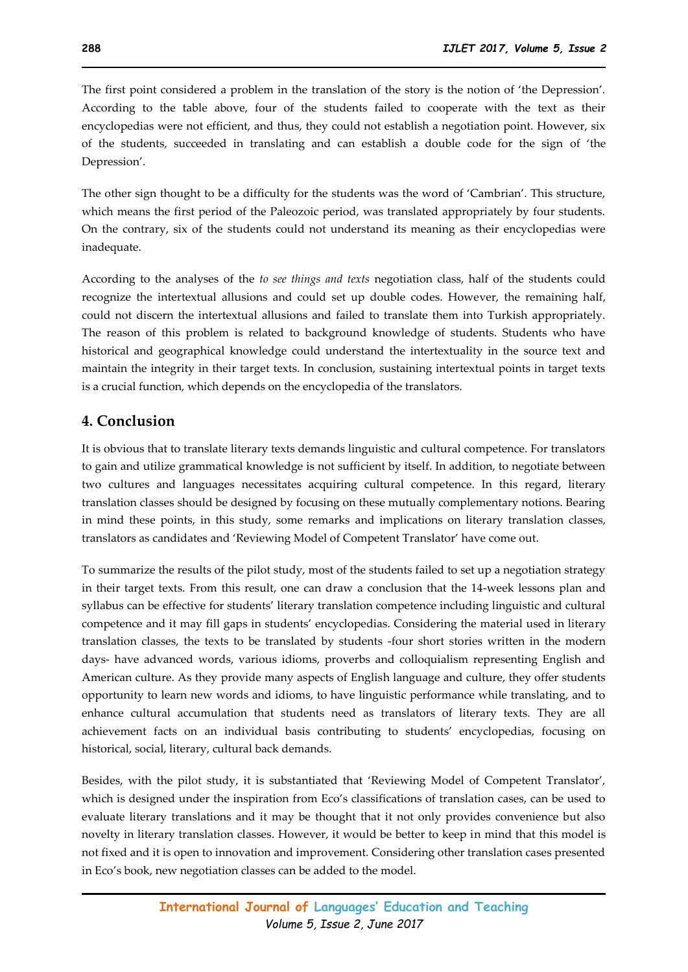The first point considered a problem in the translation of the story is the notion of 'the Depression'. According to the table above, four of the students failed to cooperate with the text as their encyclopedias were not efficient, and thus, they could not establish a negotiation point. However, six of the students, succeeded in translating and can establish a double code for the sign of 'the Depression'.

The other sign thought to be a difficulty for the students was the word of 'Cambrian'. This structure, which means the first period of the Paleozoic period, was translated appropriately by four students. On the contrary, six of the students could not understand its meaning as their encyclopedias were inadequate.

According to the analyses of the *to see things and texts* negotiation class, half of the students could recognize the intertextual allusions and could set up double codes. However, the remaining half, could not discern the intertextual allusions and failed to translate them into Turkish appropriately. The reason of this problem is related to background knowledge of students. Students who have historical and geographical knowledge could understand the intertextuality in the source text and maintain the integrity in their target texts. In conclusion, sustaining intertextual points in target texts is a crucial function, which depends on the encyclopedia of the translators.

## **4. Conclusion**

It is obvious that to translate literary texts demands linguistic and cultural competence. For translators to gain and utilize grammatical knowledge is not sufficient by itself. In addition, to negotiate between two cultures and languages necessitates acquiring cultural competence. In this regard, literary translation classes should be designed by focusing on these mutually complementary notions. Bearing in mind these points, in this study, some remarks and implications on literary translation classes, translators as candidates and 'Reviewing Model of Competent Translator' have come out.

To summarize the results of the pilot study, most of the students failed to set up a negotiation strategy in their target texts. From this result, one can draw a conclusion that the 14-week lessons plan and syllabus can be effective for students' literary translation competence including linguistic and cultural competence and it may fill gaps in students' encyclopedias. Considering the material used in literary translation classes, the texts to be translated by students -four short stories written in the modern days- have advanced words, various idioms, proverbs and colloquialism representing English and American culture. As they provide many aspects of English language and culture, they offer students opportunity to learn new words and idioms, to have linguistic performance while translating, and to enhance cultural accumulation that students need as translators of literary texts. They are all achievement facts on an individual basis contributing to students' encyclopedias, focusing on historical, social, literary, cultural back demands.

Besides, with the pilot study, it is substantiated that 'Reviewing Model of Competent Translator', which is designed under the inspiration from Eco's classifications of translation cases, can be used to evaluate literary translations and it may be thought that it not only provides convenience but also novelty in literary translation classes. However, it would be better to keep in mind that this model is not fixed and it is open to innovation and improvement. Considering other translation cases presented in Eco's book, new negotiation classes can be added to the model.